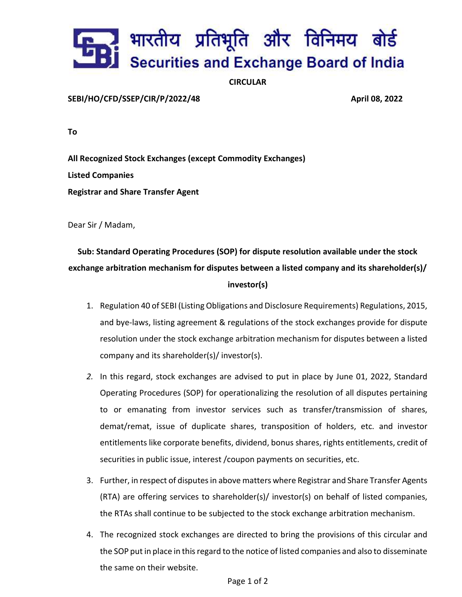## . भारतीय प्रतिभूति और विनिमय बोर्ड<br>. Securities and Exchange Board of India

## CIRCULAR

SEBI/HO/CFD/SSEP/CIR/P/2022/48 April 08, 2022

To

All Recognized Stock Exchanges (except Commodity Exchanges) Listed Companies Registrar and Share Transfer Agent

Dear Sir / Madam,

## Sub: Standard Operating Procedures (SOP) for dispute resolution available under the stock exchange arbitration mechanism for disputes between a listed company and its shareholder(s)/ investor(s)

- 1. Regulation 40 of SEBI (Listing Obligations and Disclosure Requirements) Regulations, 2015, and bye-laws, listing agreement & regulations of the stock exchanges provide for dispute resolution under the stock exchange arbitration mechanism for disputes between a listed company and its shareholder(s)/ investor(s).
- 2. In this regard, stock exchanges are advised to put in place by June 01, 2022, Standard Operating Procedures (SOP) for operationalizing the resolution of all disputes pertaining to or emanating from investor services such as transfer/transmission of shares, demat/remat, issue of duplicate shares, transposition of holders, etc. and investor entitlements like corporate benefits, dividend, bonus shares, rights entitlements, credit of securities in public issue, interest /coupon payments on securities, etc.
- 3. Further, in respect of disputes in above matters where Registrar and Share Transfer Agents (RTA) are offering services to shareholder(s)/ investor(s) on behalf of listed companies, the RTAs shall continue to be subjected to the stock exchange arbitration mechanism.
- 4. The recognized stock exchanges are directed to bring the provisions of this circular and the SOP put in place in this regard to the notice of listed companies and also to disseminate the same on their website.